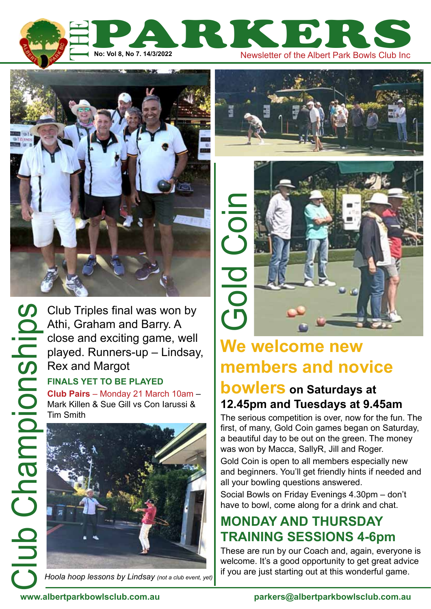



Club Championships

Club Triples final was won by Athi, Graham and Barry. A close and exciting game, well played. Runners-up – Lindsay, Rex and Margot

#### **finals yet to be played**

**Club Pairs** – Monday 21 March 10am – Mark Killen & Sue Gill vs Con Iarussi & Tim Smith



*Hoola hoop lessons by Lindsay (not a club event, yet)*





# **We welcome new members and novice**

## **bowlers on Saturdays at 12.45pm and Tuesdays at 9.45am**

The serious competition is over, now for the fun. The first, of many, Gold Coin games began on Saturday, a beautiful day to be out on the green. The money was won by Macca, SallyR, Jill and Roger.

Gold Coin is open to all members especially new and beginners. You'll get friendly hints if needed and all your bowling questions answered.

Social Bowls on Friday Evenings 4.30pm – don't have to bowl, come along for a drink and chat.

# **Monday and Thursday training sessions 4-6pm**

These are run by our Coach and, again, everyone is welcome. It's a good opportunity to get great advice if you are just starting out at this wonderful game.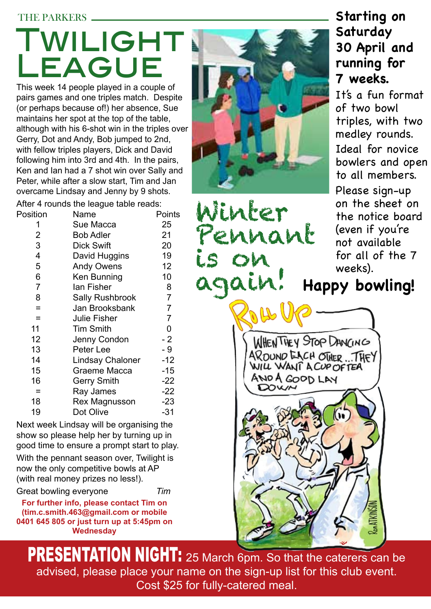#### THE PARKERS

# Twilight League

This week 14 people played in a couple of pairs games and one triples match. Despite (or perhaps because of!) her absence, Sue maintains her spot at the top of the table, although with his 6-shot win in the triples over Gerry, Dot and Andy, Bob jumped to 2nd, with fellow triples players, Dick and David following him into 3rd and 4th. In the pairs, Ken and Ian had a 7 shot win over Sally and Peter, while after a slow start, Tim and Jan overcame Lindsay and Jenny by 9 shots.

After 4 rounds the league table reads:

| Position                | Name                   | Points |
|-------------------------|------------------------|--------|
| 1                       | Sue Macca              | 25     |
| 2                       | <b>Bob Adler</b>       | 21     |
| 3                       | <b>Dick Swift</b>      | 20     |
| $\overline{\mathbf{4}}$ | David Huggins          | 19     |
| 5                       | <b>Andy Owens</b>      | 12     |
| 6                       | Ken Bunning            | 10     |
| $\overline{7}$          | lan Fisher             | 8      |
| 8                       | <b>Sally Rushbrook</b> | 7      |
| $=$                     | Jan Brooksbank         | 7      |
| =                       | <b>Julie Fisher</b>    | 7      |
| 11                      | <b>Tim Smith</b>       | 0      |
| 12                      | Jenny Condon           | $-2$   |
| 13                      | Peter Lee              | - 9    |
| 14                      | Lindsay Chaloner       | $-12$  |
| 15                      | Graeme Macca           | $-15$  |
| 16                      | Gerry Smith            | $-22$  |
| $\equiv$                | Ray James              | $-22$  |
| 18                      | Rex Magnusson          | $-23$  |
| 19                      | Dot Olive              | $-31$  |

Next week Lindsay will be organising the show so please help her by turning up in good time to ensure a prompt start to play.

With the pennant season over, Twilight is now the only competitive bowls at AP (with real money prizes no less!).

Great bowling everyone *Tim*

**For further info, please contact Tim on (tim.c.smith.463@gmail.com or mobile 0401 645 805 or just turn up at 5:45pm on Wednesday**

Winter Pennant is on

# **Starting on Saturday 30 April and running for 7 weeks.**

It's a fun format of two bowl triples, with two medley rounds. Ideal for novice bowlers and open to all members. Please sign-up on the sheet on the notice board (even if you're not available for all of the 7 weeks).



WHENTHEY STOP DANCING AROUND EACH OTHER ... THEY AND A GOOD LAY DOWN



PRESENTATION NIGHT: 25 March 6pm. So that the caterers can be advised, please place your name on the sign-up list for this club event. Cost \$25 for fully-catered meal.